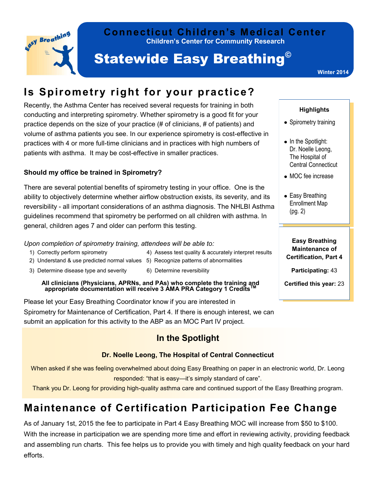

#### **Children's Center for Community Research Connecticut Children's Medical Center**

# **Statewide Easy Breathing<sup>®</sup>**

**Winter 2014**

### **Is Spirometry right for your practice?**

Recently, the Asthma Center has received several requests for training in both conducting and interpreting spirometry. Whether spirometry is a good fit for your practice depends on the size of your practice (# of clinicians, # of patients) and volume of asthma patients you see. In our experience spirometry is cost-effective in practices with 4 or more full-time clinicians and in practices with high numbers of patients with asthma. It may be cost-effective in smaller practices.

#### **Should my office be trained in Spirometry?**

There are several potential benefits of spirometry testing in your office. One is the ability to objectively determine whether airflow obstruction exists, its severity, and its reversibility - all important considerations of an asthma diagnosis. The NHLBI Asthma guidelines recommend that spirometry be performed on all children with asthma. In general, children ages 7 and older can perform this testing.

#### *Upon completion of spirometry training, attendees will be able to:*

- 1) Correctly perform spirometry 4) Assess test quality & accurately interpret results
- 2) Understand & use predicted normal values 5) Recognize patterns of abnormalities
- 3) Determine disease type and severity 6) Determine reversibility
	-

# **All clinicians (Physicians, APRNs, and PAs) who complete the training and appropriate documentation will receive 3 AMA PRA Category 1 CreditsTM**

Please let your Easy Breathing Coordinator know if you are interested in Spirometry for Maintenance of Certification, Part 4. If there is enough interest, we can submit an application for this activity to the ABP as an MOC Part IV project.

### **In the Spotlight**

#### **Dr. Noelle Leong, The Hospital of Central Connecticut**

When asked if she was feeling overwhelmed about doing Easy Breathing on paper in an electronic world, Dr. Leong responded: "that is easy—it's simply standard of care".

Thank you Dr. Leong for providing high-quality asthma care and continued support of the Easy Breathing program.

## **Maintenance of Certification Participation Fee Change**

As of January 1st, 2015 the fee to participate in Part 4 Easy Breathing MOC will increase from \$50 to \$100. With the increase in participation we are spending more time and effort in reviewing activity, providing feedback and assembling run charts. This fee helps us to provide you with timely and high quality feedback on your hard efforts.

#### **Highlights**

- Spirometry training
- In the Spotlight: Dr. Noelle Leong, The Hospital of Central Connecticut
- MOC fee increase
- Easy Breathing Enrollment Map (pg. 2)

**Easy Breathing Maintenance of Certification, Part 4** 

**Participating:** 43

**Certified this year:** 23